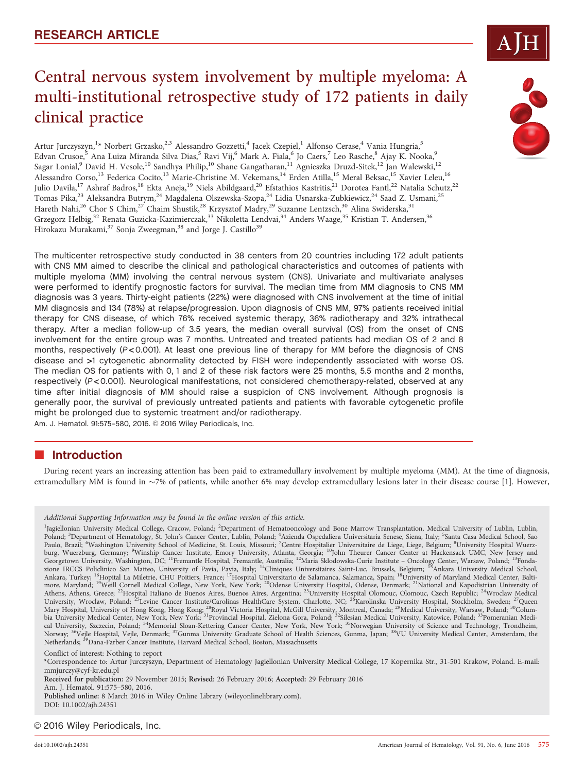# Central nervous system involvement by multiple myeloma: A multi-institutional retrospective study of 172 patients in daily clinical practice

Artur Jurczyszyn,<sup>1</sup>\* Norbert Grzasko,<sup>2,3</sup> Alessandro Gozzetti,<sup>4</sup> Jacek Czepiel,<sup>1</sup> Alfonso Cerase,<sup>4</sup> Vania Hungria,<sup>5</sup> Edvan Crusoe,<sup>5</sup> Ana Luiza Miranda Silva Dias,<sup>5</sup> Ravi Vij,<sup>6</sup> Mark A. Fiala,<sup>6</sup> Jo Caers,<sup>7</sup> Leo Rasche,<sup>8</sup> Ajay K. Nooka,<sup>9</sup> Sagar Lonial,<sup>9</sup> David H. Vesole,<sup>10</sup> Sandhya Philip,<sup>10</sup> Shane Gangatharan,<sup>11</sup> Agnieszka Druzd-Sitek,<sup>12</sup> Jan Walewski,<sup>12</sup> Alessandro Corso,<sup>13</sup> Federica Cocito,<sup>13</sup> Marie-Christine M. Vekemans,<sup>14</sup> Erden Atilla,<sup>15</sup> Meral Beksac,<sup>15</sup> Xavier Leleu,<sup>16</sup> Julio Davila,<sup>17</sup> Ashraf Badros,<sup>18</sup> Ekta Aneja,<sup>19</sup> Niels Abildgaard,<sup>20</sup> Efstathios Kastritis,<sup>21</sup> Dorotea Fantl,<sup>22</sup> Natalia Schutz,<sup>22</sup> Tomas Pika,<sup>23</sup> Aleksandra Butrym,<sup>24</sup> Magdalena Olszewska-Szopa,<sup>24</sup> Lidia Usnarska-Zubkiewicz,<sup>24</sup> Saad Z. Usmani,<sup>25</sup> Hareth Nahi,<sup>26</sup> Chor S Chim,<sup>27</sup> Chaim Shustik,<sup>28</sup> Krzysztof Madry,<sup>29</sup> Suzanne Lentzsch,<sup>30</sup> Alina Swiderska,<sup>31</sup> Grzegorz Helbig,<sup>32</sup> Renata Guzicka-Kazimierczak,<sup>33</sup> Nikoletta Lendvai,<sup>34</sup> Anders Waage,<sup>35</sup> Kristian T. Andersen,<sup>36</sup> Hirokazu Murakami,<sup>37</sup> Sonja Zweegman,<sup>38</sup> and Jorge J. Castillo<sup>39</sup>

The multicenter retrospective study conducted in 38 centers from 20 countries including 172 adult patients with CNS MM aimed to describe the clinical and pathological characteristics and outcomes of patients with multiple myeloma (MM) involving the central nervous system (CNS). Univariate and multivariate analyses were performed to identify prognostic factors for survival. The median time from MM diagnosis to CNS MM diagnosis was 3 years. Thirty-eight patients (22%) were diagnosed with CNS involvement at the time of initial MM diagnosis and 134 (78%) at relapse/progression. Upon diagnosis of CNS MM, 97% patients received initial therapy for CNS disease, of which 76% received systemic therapy, 36% radiotherapy and 32% intrathecal therapy. After a median follow-up of 3.5 years, the median overall survival (OS) from the onset of CNS involvement for the entire group was 7 months. Untreated and treated patients had median OS of 2 and 8 months, respectively ( $P < 0.001$ ). At least one previous line of therapy for MM before the diagnosis of CNS disease and >1 cytogenetic abnormality detected by FISH were independently associated with worse OS. The median OS for patients with 0, 1 and 2 of these risk factors were 25 months, 5.5 months and 2 months, respectively (P < 0.001). Neurological manifestations, not considered chemotherapy-related, observed at any time after initial diagnosis of MM should raise a suspicion of CNS involvement. Although prognosis is generally poor, the survival of previously untreated patients and patients with favorable cytogenetic profile might be prolonged due to systemic treatment and/or radiotherapy.

### Am. J. Hematol. 91:575-580, 2016. 2016 Wiley Periodicals, Inc.

# **n** Introduction

During recent years an increasing attention has been paid to extramedullary involvement by multiple myeloma (MM). At the time of diagnosis, extramedullary MM is found in ~7% of patients, while another 6% may develop extramedullary lesions later in their disease course [1]. However,

Conflict of interest: Nothing to report

Received for publication: 29 November 2015; Revised: 26 February 2016; Accepted: 29 February 2016

Am. J. Hematol. 91:575–580, 2016.

Published online: 8 March 2016 in Wiley Online Library (wileyonlinelibrary.com). DOI: 10.1002/ajh.24351

© 2016 Wiley Periodicals, Inc.





Additional Supporting Information may be found in the online version of this article.

<sup>&</sup>lt;sup>1</sup>Jagiellonian University Medical College, Cracow, Poland; <sup>2</sup>Department of Hematooncology and Bone Marrow Transplantation, Medical University of Lublin, Lublin, Poland; <sup>3</sup>Department of Hematology, St. John's Cancer Center, Lublin, Poland; <sup>4</sup>Azienda Ospedaliera Universitaria Senese, Siena, Italy; <sup>5</sup>Santa Casa Medical School, Sao<br>Paulo, Brazil; <sup>6</sup>Washington University School of burg, Wuerzburg, Germany; <sup>9</sup>Winship Cancer Institute, Emory University, Atlanta, Georgia; <sup>10</sup>John Theurer Cancer Center at Hackensack UMC, New Jersey and Georgetown University, Washington, DC; <sup>11</sup>Fremantle Hospital, Fremantle, Australia; <sup>12</sup>Maria Sklodowska-Curie Institute - Oncology Center, Warsaw, Poland; <sup>13</sup>Fondazione IRCCS Policlinico San Matteo, University of Pavia, Pavia, Italy; <sup>14</sup>Cliniques Universitaires Saint-Luc, Brussels, Belgium; <sup>15</sup>Ankara University Medical School, Ankara, Turkey; <sup>16</sup>Hopital La Miletrie, CHU Poitiers, France; <sup>17</sup>Hospital Universitario de Salamanca, Salamanca, Spain; <sup>18</sup>University of Maryland Medical Center, Baltimore, Maryland; <sup>19</sup>Weill Cornell Medical College, New York, New York; <sup>20</sup>Odense University Hospital, Odense, Denmark; <sup>21</sup>National and Kapodistrian University of Athens, Athens, Greece; <sup>22</sup>Hospital Italiano de Buenos Aires, Buenos Aires, Argentina; <sup>23</sup>University Hospital Olomouc, Olomouc, Czech Republic; <sup>24</sup>Wroclaw Medical University, Wroclaw, Poland; <sup>25</sup>Levine Cancer Institute/Carolinas HealthCare System, Charlotte, NC; <sup>26</sup>Karolinska University Hospital, Stockholm, Sweden; <sup>27</sup>Queen Mary Hospital, University of Hong Kong, Hong Kong; <sup>28</sup>Royal Victoria Hospital, McGill University, Montreal, Canada; <sup>29</sup>Medical University, Warsaw, Poland; <sup>30</sup>Columbia University Medical Center, New York, New York; <sup>31</sup>Provincial Hospital, Zielona Gora, Poland; <sup>32</sup>Silesian Medical University, Katowice, Poland; <sup>33</sup>Pomeranian Medical University, Szczecin, Poland; <sup>34</sup>Memorial Sloan-Kettering Cancer Center, New York, New York; <sup>35</sup>Norwegian University of Science and Technology, Trondheim, Norway; 36Vejle Hospital, Vejle, Denmark; 37Gunma University Graduate School of Health Sciences, Gunma, Japan; 38VU University Medical Center, Amsterdam, the Netherlands; <sup>39</sup>Dana-Farber Cancer Institute, Harvard Medical School, Boston, Massachusetts

<sup>\*</sup>Correspondence to: Artur Jurczyszyn, Department of Hematology Jagiellonian University Medical College, 17 Kopernika Str., 31-501 Krakow, Poland. E-mail: mmjurczy@cyf-kr.edu.pl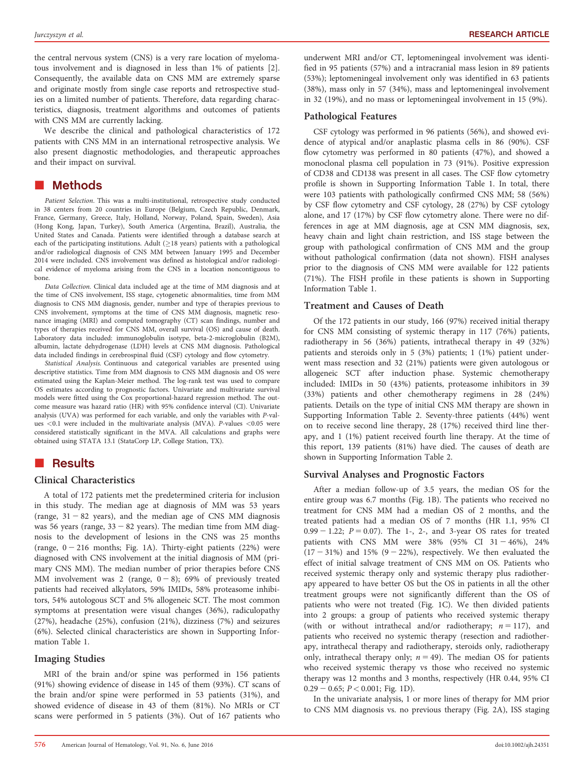the central nervous system (CNS) is a very rare location of myelomatous involvement and is diagnosed in less than 1% of patients [2]. Consequently, the available data on CNS MM are extremely sparse and originate mostly from single case reports and retrospective studies on a limited number of patients. Therefore, data regarding characteristics, diagnosis, treatment algorithms and outcomes of patients with CNS MM are currently lacking.

We describe the clinical and pathological characteristics of 172 patients with CNS MM in an international retrospective analysis. We also present diagnostic methodologies, and therapeutic approaches and their impact on survival.

# **E** Methods

Patient Selection. This was a multi-institutional, retrospective study conducted in 38 centers from 20 countries in Europe (Belgium, Czech Republic, Denmark, France, Germany, Greece, Italy, Holland, Norway, Poland, Spain, Sweden), Asia (Hong Kong, Japan, Turkey), South America (Argentina, Brazil), Australia, the United States and Canada. Patients were identified through a database search at each of the participating institutions. Adult  $(\geq 18$  years) patients with a pathological and/or radiological diagnosis of CNS MM between January 1995 and December 2014 were included. CNS involvement was defined as histological and/or radiological evidence of myeloma arising from the CNS in a location noncontiguous to bone.

Data Collection. Clinical data included age at the time of MM diagnosis and at the time of CNS involvement, ISS stage, cytogenetic abnormalities, time from MM diagnosis to CNS MM diagnosis, gender, number and type of therapies previous to CNS involvement, symptoms at the time of CNS MM diagnosis, magnetic resonance imaging (MRI) and computed tomography (CT) scan findings, number and types of therapies received for CNS MM, overall survival (OS) and cause of death. Laboratory data included: immunoglobulin isotype, beta-2-microglobulin (B2M), albumin, lactate dehydrogenase (LDH) levels at CNS MM diagnosis. Pathological data included findings in cerebrospinal fluid (CSF) cytology and flow cytometry.

Statistical Analysis. Continuous and categorical variables are presented using descriptive statistics. Time from MM diagnosis to CNS MM diagnosis and OS were estimated using the Kaplan-Meier method. The log-rank test was used to compare OS estimates according to prognostic factors. Univariate and multivariate survival models were fitted using the Cox proportional-hazard regression method. The outcome measure was hazard ratio (HR) with 95% confidence interval (CI). Univariate analysis (UVA) was performed for each variable, and only the variables with P-values <0.1 were included in the multivariate analysis (MVA). P-values <0.05 were considered statistically significant in the MVA. All calculations and graphs were obtained using STATA 13.1 (StataCorp LP, College Station, TX).

# **Results**

### Clinical Characteristics

A total of 172 patients met the predetermined criteria for inclusion in this study. The median age at diagnosis of MM was 53 years (range,  $31 - 82$  years), and the median age of CNS MM diagnosis was 56 years (range,  $33 - 82$  years). The median time from MM diagnosis to the development of lesions in the CNS was 25 months (range,  $0 - 216$  months; Fig. 1A). Thirty-eight patients (22%) were diagnosed with CNS involvement at the initial diagnosis of MM (primary CNS MM). The median number of prior therapies before CNS MM involvement was 2 (range,  $0 - 8$ ); 69% of previously treated patients had received alkylators, 59% IMIDs, 58% proteasome inhibitors, 54% autologous SCT and 5% allogeneic SCT. The most common symptoms at presentation were visual changes (36%), radiculopathy (27%), headache (25%), confusion (21%), dizziness (7%) and seizures (6%). Selected clinical characteristics are shown in Supporting Information Table 1.

#### Imaging Studies

MRI of the brain and/or spine was performed in 156 patients (91%) showing evidence of disease in 145 of them (93%). CT scans of the brain and/or spine were performed in 53 patients (31%), and showed evidence of disease in 43 of them (81%). No MRIs or CT scans were performed in 5 patients (3%). Out of 167 patients who underwent MRI and/or CT, leptomeningeal involvement was identified in 95 patients (57%) and a intracranial mass lesion in 89 patients (53%); leptomeningeal involvement only was identified in 63 patients (38%), mass only in 57 (34%), mass and leptomeningeal involvement in 32 (19%), and no mass or leptomeningeal involvement in 15 (9%).

### Pathological Features

CSF cytology was performed in 96 patients (56%), and showed evidence of atypical and/or anaplastic plasma cells in 86 (90%). CSF flow cytometry was performed in 80 patients (47%), and showed a monoclonal plasma cell population in 73 (91%). Positive expression of CD38 and CD138 was present in all cases. The CSF flow cytometry profile is shown in Supporting Information Table 1. In total, there were 103 patients with pathologically confirmed CNS MM; 58 (56%) by CSF flow cytometry and CSF cytology, 28 (27%) by CSF cytology alone, and 17 (17%) by CSF flow cytometry alone. There were no differences in age at MM diagnosis, age at CSN MM diagnosis, sex, heavy chain and light chain restriction, and ISS stage between the group with pathological confirmation of CNS MM and the group without pathological confirmation (data not shown). FISH analyses prior to the diagnosis of CNS MM were available for 122 patients (71%). The FISH profile in these patients is shown in Supporting Information Table 1.

### Treatment and Causes of Death

Of the 172 patients in our study, 166 (97%) received initial therapy for CNS MM consisting of systemic therapy in 117 (76%) patients, radiotherapy in 56 (36%) patients, intrathecal therapy in 49 (32%) patients and steroids only in 5 (3%) patients; 1 (1%) patient underwent mass resection and 32 (21%) patients were given autologous or allogeneic SCT after induction phase. Systemic chemotherapy included: IMIDs in 50 (43%) patients, proteasome inhibitors in 39 (33%) patients and other chemotherapy regimens in 28 (24%) patients. Details on the type of initial CNS MM therapy are shown in Supporting Information Table 2. Seventy-three patients (44%) went on to receive second line therapy, 28 (17%) received third line therapy, and 1 (1%) patient received fourth line therapy. At the time of this report, 139 patients (81%) have died. The causes of death are shown in Supporting Information Table 2.

### Survival Analyses and Prognostic Factors

After a median follow-up of 3.5 years, the median OS for the entire group was 6.7 months (Fig. 1B). The patients who received no treatment for CNS MM had a median OS of 2 months, and the treated patients had a median OS of 7 months (HR 1.1, 95% CI  $0.99 - 1.22$ ;  $P = 0.07$ ). The 1-, 2-, and 3-year OS rates for treated patients with CNS MM were  $38\%$  (95% CI  $31 - 46\%$ ), 24%  $(17 - 31%)$  and 15%  $(9 - 22%)$ , respectively. We then evaluated the effect of initial salvage treatment of CNS MM on OS. Patients who received systemic therapy only and systemic therapy plus radiotherapy appeared to have better OS but the OS in patients in all the other treatment groups were not significantly different than the OS of patients who were not treated (Fig. 1C). We then divided patients into 2 groups: a group of patients who received systemic therapy (with or without intrathecal and/or radiotherapy;  $n = 117$ ), and patients who received no systemic therapy (resection and radiotherapy, intrathecal therapy and radiotherapy, steroids only, radiotherapy only, intrathecal therapy only;  $n = 49$ ). The median OS for patients who received systemic therapy vs those who received no systemic therapy was 12 months and 3 months, respectively (HR 0.44, 95% CI  $0.29 - 0.65$ ;  $P < 0.001$ ; Fig. 1D).

In the univariate analysis, 1 or more lines of therapy for MM prior to CNS MM diagnosis vs. no previous therapy (Fig. 2A), ISS staging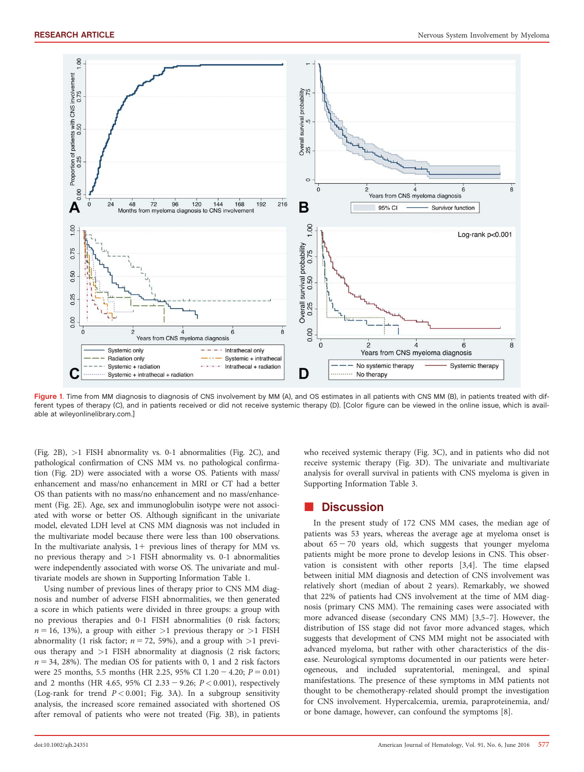

Figure 1. Time from MM diagnosis to diagnosis of CNS involvement by MM (A), and OS estimates in all patients with CNS MM (B), in patients treated with different types of therapy (C), and in patients received or did not receive systemic therapy (D). [Color figure can be viewed in the online issue, which is available at [wileyonlinelibrary.com](http://wileyonlinelibrary.com).]

(Fig. 2B), >1 FISH abnormality vs. 0-1 abnormalities (Fig. 2C), and pathological confirmation of CNS MM vs. no pathological confirmation (Fig. 2D) were associated with a worse OS. Patients with mass/ enhancement and mass/no enhancement in MRI or CT had a better OS than patients with no mass/no enhancement and no mass/enhancement (Fig. 2E). Age, sex and immunoglobulin isotype were not associated with worse or better OS. Although significant in the univariate model, elevated LDH level at CNS MM diagnosis was not included in the multivariate model because there were less than 100 observations. In the multivariate analysis,  $1+$  previous lines of therapy for MM vs. no previous therapy and  $>1$  FISH abnormality vs. 0-1 abnormalities were independently associated with worse OS. The univariate and multivariate models are shown in Supporting Information Table 1.

Using number of previous lines of therapy prior to CNS MM diagnosis and number of adverse FISH abnormalities, we then generated a score in which patients were divided in three groups: a group with no previous therapies and 0-1 FISH abnormalities (0 risk factors;  $n = 16$ , 13%), a group with either >1 previous therapy or >1 FISH abnormality (1 risk factor;  $n = 72$ , 59%), and a group with  $>1$  previous therapy and >1 FISH abnormality at diagnosis (2 risk factors;  $n = 34$ , 28%). The median OS for patients with 0, 1 and 2 risk factors were 25 months, 5.5 months (HR 2.25, 95% CI 1.20 – 4.20;  $P = 0.01$ ) and 2 months (HR 4.65, 95% CI 2.33 - 9.26;  $P < 0.001$ ), respectively (Log-rank for trend  $P < 0.001$ ; Fig. 3A). In a subgroup sensitivity analysis, the increased score remained associated with shortened OS after removal of patients who were not treated (Fig. 3B), in patients who received systemic therapy (Fig. 3C), and in patients who did not receive systemic therapy (Fig. 3D). The univariate and multivariate analysis for overall survival in patients with CNS myeloma is given in Supporting Information Table 3.

# **Discussion**

In the present study of 172 CNS MM cases, the median age of patients was 53 years, whereas the average age at myeloma onset is about  $65 - 70$  years old, which suggests that younger myeloma patients might be more prone to develop lesions in CNS. This observation is consistent with other reports [3,4]. The time elapsed between initial MM diagnosis and detection of CNS involvement was relatively short (median of about 2 years). Remarkably, we showed that 22% of patients had CNS involvement at the time of MM diagnosis (primary CNS MM). The remaining cases were associated with more advanced disease (secondary CNS MM) [3,5–7]. However, the distribution of ISS stage did not favor more advanced stages, which suggests that development of CNS MM might not be associated with advanced myeloma, but rather with other characteristics of the disease. Neurological symptoms documented in our patients were heterogeneous, and included supratentorial, meningeal, and spinal manifestations. The presence of these symptoms in MM patients not thought to be chemotherapy-related should prompt the investigation for CNS involvement. Hypercalcemia, uremia, paraproteinemia, and/ or bone damage, however, can confound the symptoms [8].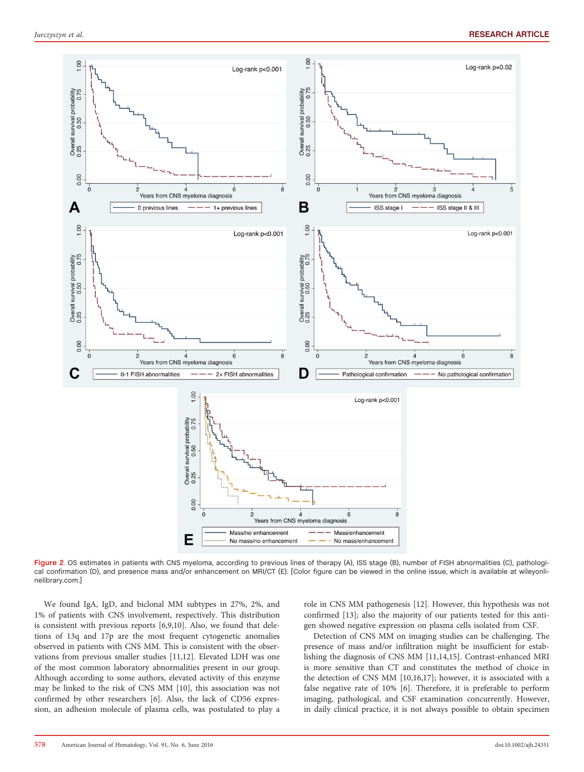

Figure 2. OS estimates in patients with CNS myeloma, according to previous lines of therapy (A), ISS stage (B), number of FISH abnormalities (C), pathological confirmation (D), and presence mass and/or enhancement on MRI/CT (E). [Color figure can be viewed in the online issue, which is available at [wileyonli](http://wileyonlinelibrary.com)[nelibrary.com.](http://wileyonlinelibrary.com)]

We found IgA, IgD, and biclonal MM subtypes in 27%, 2%, and 1% of patients with CNS involvement, respectively. This distribution is consistent with previous reports [6,9,10]. Also, we found that deletions of 13q and 17p are the most frequent cytogenetic anomalies observed in patients with CNS MM. This is consistent with the observations from previous smaller studies [11,12]. Elevated LDH was one of the most common laboratory abnormalities present in our group. Although according to some authors, elevated activity of this enzyme may be linked to the risk of CNS MM [10], this association was not confirmed by other researchers [6]. Also, the lack of CD56 expression, an adhesion molecule of plasma cells, was postulated to play a role in CNS MM pathogenesis [12]. However, this hypothesis was not confirmed [13]; also the majority of our patients tested for this antigen showed negative expression on plasma cells isolated from CSF.

Detection of CNS MM on imaging studies can be challenging. The presence of mass and/or infiltration might be insufficient for establishing the diagnosis of CNS MM [11,14,15]. Contrast-enhanced MRI is more sensitive than CT and constitutes the method of choice in the detection of CNS MM [10,16,17]; however, it is associated with a false negative rate of 10% [6]. Therefore, it is preferable to perform imaging, pathological, and CSF examination concurrently. However, in daily clinical practice, it is not always possible to obtain specimen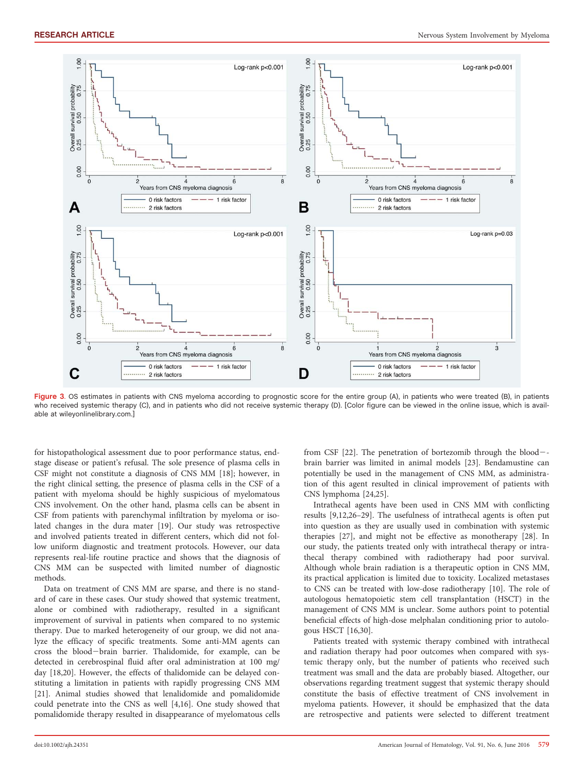

Figure 3. OS estimates in patients with CNS myeloma according to prognostic score for the entire group (A), in patients who were treated (B), in patients who received systemic therapy (C), and in patients who did not receive systemic therapy (D). [Color figure can be viewed in the online issue, which is available at [wileyonlinelibrary.com](http://wileyonlinelibrary.com).]

for histopathological assessment due to poor performance status, endstage disease or patient's refusal. The sole presence of plasma cells in CSF might not constitute a diagnosis of CNS MM [18]; however, in the right clinical setting, the presence of plasma cells in the CSF of a patient with myeloma should be highly suspicious of myelomatous CNS involvement. On the other hand, plasma cells can be absent in CSF from patients with parenchymal infiltration by myeloma or isolated changes in the dura mater [19]. Our study was retrospective and involved patients treated in different centers, which did not follow uniform diagnostic and treatment protocols. However, our data represents real-life routine practice and shows that the diagnosis of CNS MM can be suspected with limited number of diagnostic methods.

Data on treatment of CNS MM are sparse, and there is no standard of care in these cases. Our study showed that systemic treatment, alone or combined with radiotherapy, resulted in a significant improvement of survival in patients when compared to no systemic therapy. Due to marked heterogeneity of our group, we did not analyze the efficacy of specific treatments. Some anti-MM agents can cross the blood-brain barrier. Thalidomide, for example, can be detected in cerebrospinal fluid after oral administration at 100 mg/ day [18,20]. However, the effects of thalidomide can be delayed constituting a limitation in patients with rapidly progressing CNS MM [21]. Animal studies showed that lenalidomide and pomalidomide could penetrate into the CNS as well [4,16]. One study showed that pomalidomide therapy resulted in disappearance of myelomatous cells from CSF  $[22]$ . The penetration of bortezomib through the blood-brain barrier was limited in animal models [23]. Bendamustine can potentially be used in the management of CNS MM, as administration of this agent resulted in clinical improvement of patients with CNS lymphoma [24,25].

Intrathecal agents have been used in CNS MM with conflicting results [9,12,26–29]. The usefulness of intrathecal agents is often put into question as they are usually used in combination with systemic therapies [27], and might not be effective as monotherapy [28]. In our study, the patients treated only with intrathecal therapy or intrathecal therapy combined with radiotherapy had poor survival. Although whole brain radiation is a therapeutic option in CNS MM, its practical application is limited due to toxicity. Localized metastases to CNS can be treated with low-dose radiotherapy [10]. The role of autologous hematopoietic stem cell transplantation (HSCT) in the management of CNS MM is unclear. Some authors point to potential beneficial effects of high-dose melphalan conditioning prior to autologous HSCT [16,30].

Patients treated with systemic therapy combined with intrathecal and radiation therapy had poor outcomes when compared with systemic therapy only, but the number of patients who received such treatment was small and the data are probably biased. Altogether, our observations regarding treatment suggest that systemic therapy should constitute the basis of effective treatment of CNS involvement in myeloma patients. However, it should be emphasized that the data are retrospective and patients were selected to different treatment